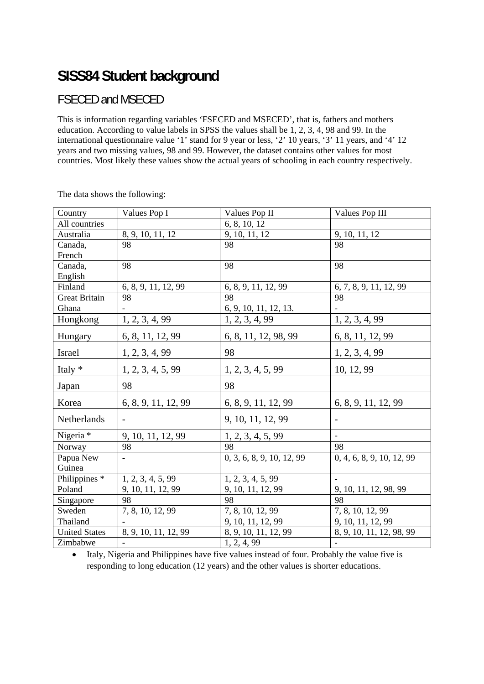## **SISS84 Student background**

## FSECED and MSECED

This is information regarding variables 'FSECED and MSECED', that is, fathers and mothers education. According to value labels in SPSS the values shall be 1, 2, 3, 4, 98 and 99. In the international questionnaire value '1' stand for 9 year or less, '2' 10 years, '3' 11 years, and '4' 12 years and two missing values, 98 and 99. However, the dataset contains other values for most countries. Most likely these values show the actual years of schooling in each country respectively.

| Country                  | Values Pop I             | Values Pop II             | Values Pop III            |  |  |  |
|--------------------------|--------------------------|---------------------------|---------------------------|--|--|--|
| All countries            |                          | 6, 8, 10, 12              |                           |  |  |  |
| Australia                | 8, 9, 10, 11, 12         | 9, 10, 11, 12             | 9, 10, 11, 12             |  |  |  |
| Canada,                  | 98                       | 98                        | 98                        |  |  |  |
| French                   |                          |                           |                           |  |  |  |
| Canada,                  | 98                       | 98                        | 98                        |  |  |  |
| English                  |                          |                           |                           |  |  |  |
| Finland                  | 6, 8, 9, 11, 12, 99      | 6, 8, 9, 11, 12, 99       | 6, 7, 8, 9, 11, 12, 99    |  |  |  |
| <b>Great Britain</b>     | 98                       | 98                        | 98                        |  |  |  |
| Ghana                    |                          | 6, 9, 10, 11, 12, 13.     |                           |  |  |  |
| Hongkong                 | 1, 2, 3, 4, 99           | 1, 2, 3, 4, 99            | 1, 2, 3, 4, 99            |  |  |  |
| Hungary                  | 6, 8, 11, 12, 99         | 6, 8, 11, 12, 98, 99      | 6, 8, 11, 12, 99          |  |  |  |
| Israel                   | 1, 2, 3, 4, 99           | 98                        | 1, 2, 3, 4, 99            |  |  |  |
| Italy *                  | 1, 2, 3, 4, 5, 99        | 1, 2, 3, 4, 5, 99         | 10, 12, 99                |  |  |  |
| Japan                    | 98                       | 98                        |                           |  |  |  |
| Korea                    | 6, 8, 9, 11, 12, 99      | 6, 8, 9, 11, 12, 99       | 6, 8, 9, 11, 12, 99       |  |  |  |
| Netherlands              |                          | 9, 10, 11, 12, 99         |                           |  |  |  |
| Nigeria *                | 9, 10, 11, 12, 99        | 1, 2, 3, 4, 5, 99         | $\frac{1}{2}$             |  |  |  |
| Norway                   | 98                       | 98                        | 98                        |  |  |  |
| Papua New                | $\overline{\phantom{a}}$ | 0, 3, 6, 8, 9, 10, 12, 99 | 0, 4, 6, 8, 9, 10, 12, 99 |  |  |  |
| Guinea                   |                          |                           |                           |  |  |  |
| Philippines <sup>*</sup> | 1, 2, 3, 4, 5, 99        | 1, 2, 3, 4, 5, 99         |                           |  |  |  |
| Poland                   | 9, 10, 11, 12, 99        | 9, 10, 11, 12, 99         | 9, 10, 11, 12, 98, 99     |  |  |  |
| Singapore                | 98                       | 98                        | 98                        |  |  |  |
| Sweden                   | 7, 8, 10, 12, 99         | 7, 8, 10, 12, 99          | 7, 8, 10, 12, 99          |  |  |  |
| Thailand                 |                          | 9, 10, 11, 12, 99         | 9, 10, 11, 12, 99         |  |  |  |
| <b>United States</b>     | 8, 9, 10, 11, 12, 99     | 8, 9, 10, 11, 12, 99      | 8, 9, 10, 11, 12, 98, 99  |  |  |  |
| Zimbabwe                 |                          | 1, 2, 4, 99               |                           |  |  |  |

The data shows the following:

 Italy, Nigeria and Philippines have five values instead of four. Probably the value five is responding to long education (12 years) and the other values is shorter educations.